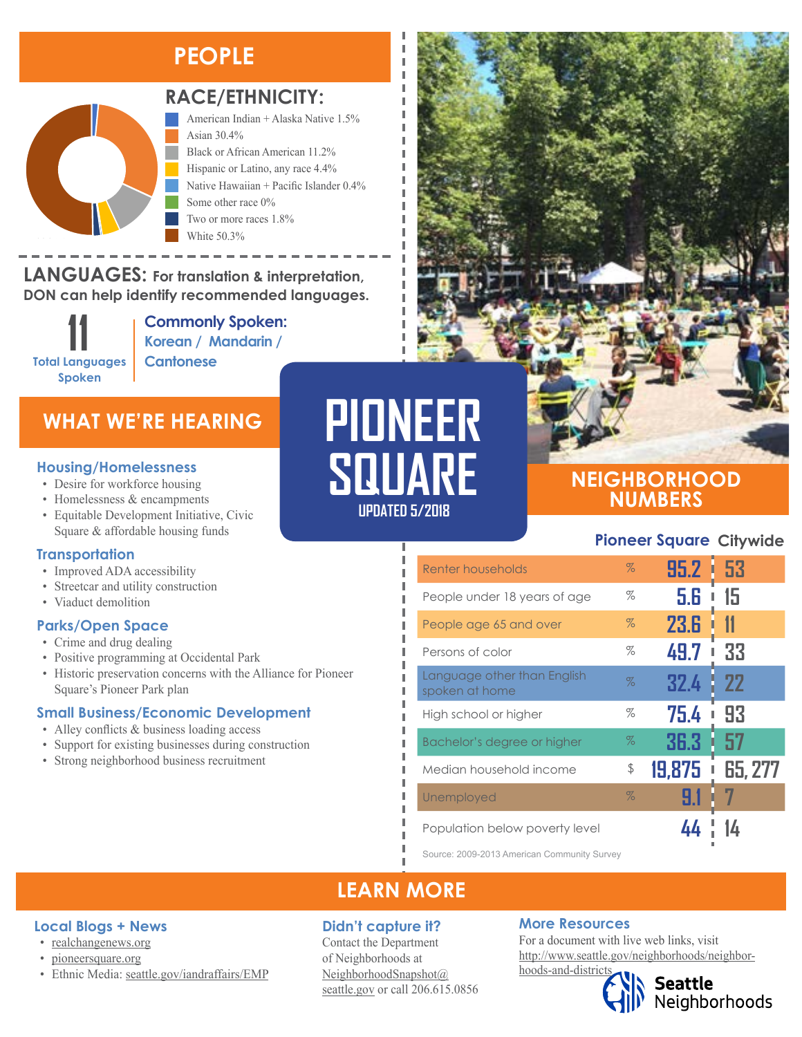# **PEOPLE**



#### **RACE/ETHNICITY:**

American Indian + Alaska Native 1.5% Asian 30.4% Black or African American 11.2% Hispanic or Latino, any race 4.4% Native Hawaiian + Pacific Islander 0.4% Some other race 0% Two or more races 1.8% White 50.3%

**LANGUAGES:** For translation & interpretation, **DON can help identify recommended languages.**

> **11 Total Languages Spoken**

**Commonly Spoken: Korean / Mandarin / Cantonese** 

### **WHAT WE'RE HEARING**

- Desire for workforce housing
- Homelessness & encampments
- Equitable Development Initiative, Civic Square & affordable housing funds

#### **Transportation**

- Improved ADA accessibility
- Streetcar and utility construction
- Viaduct demolition

#### **Parks/Open Space**

- Crime and drug dealing
- Positive programming at Occidental Park
- Historic preservation concerns with the Alliance for Pioneer Square's Pioneer Park plan

#### **Small Business/Economic Development**

- Alley conflicts & business loading access
- Support for existing businesses during construction
- Strong neighborhood business recruitment

# **PIONEER Housing/Homelessness**<br>
• Desire for workforce housing<br> **SQUARE**

**UPDATED 5/2018**

### **NEIGHBORHOOD NUMBERS**

#### **Pioneer Square Citywide**

| Renter households                             | $\%$ | 95.2      | <b>53</b> |
|-----------------------------------------------|------|-----------|-----------|
| People under 18 years of age                  | %    | 5.6       | 15        |
| People age 65 and over                        | $\%$ | 23.6      | 11        |
| Persons of color                              | %    | 49.7<br>ī | 33        |
| Language other than English<br>spoken at home | $\%$ | 32.4      | 22        |
| High school or higher                         | %    | 75.4      | 93        |
| Bachelor's degree or higher                   | $\%$ | 36.3      | 57        |
| Median household income                       | \$   | 19,875    | 65, 277   |
| Unemployed                                    | $\%$ | 91        |           |
| Population below poverty level                |      |           |           |

Source: 2009-2013 American Community Survey

## **LEARN MORE**

#### **Didn't capture it?**

Contact the Department of Neighborhoods at [NeighborhoodSnapshot@](mailto:NeighborhoodSnapshot%40%0Aseattle.gov?subject=) [seattle.gov](mailto:NeighborhoodSnapshot%40%0Aseattle.gov?subject=) or call 206.615.0856

#### **More Resources**

For a document with live web links, visit [http://www.seattle.gov/neighborhoods/neighbor](http://www.seattle.gov/neighborhoods/neighborhoods-and-districts)[hoods-and-districts](http://www.seattle.gov/neighborhoods/neighborhoods-and-districts)



**Seattle**<br>Neighborhoods

#### **Local Blogs + News**

- [realchangenews.org](http://www.realchangenews.org/)
- [pioneersquare.org](http://www.pioneersquare.org/)
- Ethnic Media: [seattle.gov/iandraffairs/EMP](http://www.seattle.gov/iandraffairs/EMP)